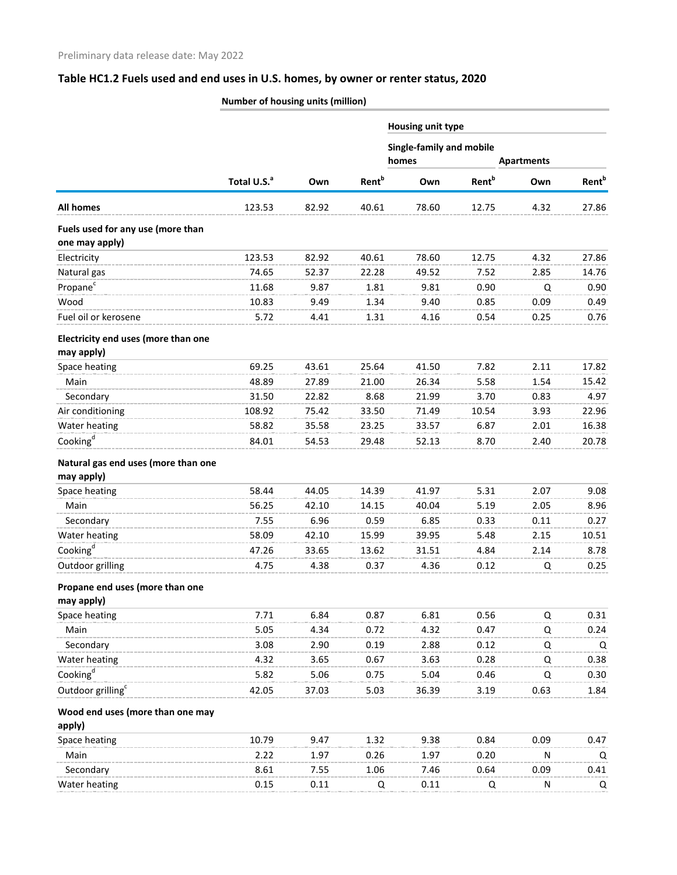## **Table HC1.2 Fuels used and end uses in U.S. homes, by owner or renter status, 2020**

|                                                     | Number of housing units (million) |       |                          |                                   |                          |      |                          |  |
|-----------------------------------------------------|-----------------------------------|-------|--------------------------|-----------------------------------|--------------------------|------|--------------------------|--|
|                                                     |                                   |       |                          | <b>Housing unit type</b>          |                          |      |                          |  |
|                                                     | Total U.S. <sup>a</sup>           | Own   |                          | Single-family and mobile<br>homes | <b>Apartments</b>        |      |                          |  |
|                                                     |                                   |       | <b>Rent</b> <sup>b</sup> | Own                               | <b>Rent</b> <sup>b</sup> | Own  | <b>Rent</b> <sup>b</sup> |  |
| <b>All homes</b>                                    | 123.53                            | 82.92 | 40.61                    | 78.60                             | 12.75                    | 4.32 | 27.86                    |  |
| Fuels used for any use (more than<br>one may apply) |                                   |       |                          |                                   |                          |      |                          |  |
| Electricity                                         | 123.53                            | 82.92 | 40.61                    | 78.60                             | 12.75                    | 4.32 | 27.86                    |  |
| Natural gas                                         | 74.65                             | 52.37 | 22.28                    | 49.52                             | 7.52                     | 2.85 | 14.76                    |  |
| Propane <sup>c</sup>                                | 11.68                             | 9.87  | 1.81                     | 9.81                              | 0.90                     | Q    | 0.90                     |  |
| Wood                                                | 10.83                             | 9.49  | 1.34                     | 9.40                              | 0.85                     | 0.09 | 0.49                     |  |
| Fuel oil or kerosene                                | 5.72                              | 4.41  | 1.31                     | 4.16                              | 0.54                     | 0.25 | 0.76                     |  |
| Electricity end uses (more than one                 |                                   |       |                          |                                   |                          |      |                          |  |
| may apply)                                          |                                   |       |                          |                                   |                          |      |                          |  |
| Space heating                                       | 69.25                             | 43.61 | 25.64                    | 41.50                             | 7.82                     | 2.11 | 17.82                    |  |
| Main                                                | 48.89                             | 27.89 | 21.00                    | 26.34                             | 5.58                     | 1.54 | 15.42                    |  |
| Secondary                                           | 31.50                             | 22.82 | 8.68                     | 21.99                             | 3.70                     | 0.83 | 4.97                     |  |
| Air conditioning                                    | 108.92                            | 75.42 | 33.50                    | 71.49                             | 10.54                    | 3.93 | 22.96                    |  |
| Water heating                                       | 58.82                             | 35.58 | 23.25                    | 33.57                             | 6.87                     | 2.01 | 16.38                    |  |
| Cooking <sup>d</sup>                                | 84.01                             | 54.53 | 29.48                    | 52.13                             | 8.70                     | 2.40 | 20.78                    |  |
| Natural gas end uses (more than one                 |                                   |       |                          |                                   |                          |      |                          |  |
| may apply)                                          |                                   |       |                          |                                   |                          |      |                          |  |
| Space heating                                       | 58.44                             | 44.05 | 14.39                    | 41.97                             | 5.31                     | 2.07 | 9.08                     |  |
| Main                                                | 56.25                             | 42.10 | 14.15                    | 40.04                             | 5.19                     | 2.05 | 8.96                     |  |
| Secondary                                           | 7.55                              | 6.96  | 0.59                     | 6.85                              | 0.33                     | 0.11 | 0.27                     |  |
| Water heating                                       | 58.09                             | 42.10 | 15.99                    | 39.95                             | 5.48                     | 2.15 | 10.51                    |  |
| Cooking <sup>d</sup>                                | 47.26                             | 33.65 | 13.62                    | 31.51                             | 4.84                     | 2.14 | 8.78                     |  |
| Outdoor grilling                                    | 4.75                              | 4.38  | 0.37                     | 4.36                              | 0.12                     | Q    | 0.25                     |  |
| Propane end uses (more than one                     |                                   |       |                          |                                   |                          |      |                          |  |
| may apply)                                          |                                   |       |                          |                                   |                          |      |                          |  |
| Space heating                                       | 7.71                              | 6.84  | 0.87                     | 6.81                              | 0.56                     | Q    | 0.31                     |  |
| Main                                                | 5.05                              | 4.34  | 0.72                     | 4.32                              | 0.47                     | Q    | 0.24                     |  |
| Secondary                                           | 3.08                              | 2.90  | 0.19                     | 2.88                              | 0.12                     | Q    | Q                        |  |
| Water heating                                       | 4.32                              | 3.65  | 0.67                     | 3.63                              | 0.28                     | Q    | 0.38                     |  |
| Cooking <sup>d</sup>                                | 5.82                              | 5.06  | 0.75                     | 5.04                              | 0.46                     | Q    | 0.30                     |  |
| Outdoor grilling <sup>c</sup>                       | 42.05                             | 37.03 | 5.03                     | 36.39                             | 3.19                     | 0.63 | 1.84                     |  |
| Wood end uses (more than one may                    |                                   |       |                          |                                   |                          |      |                          |  |
| apply)                                              |                                   |       |                          |                                   |                          |      |                          |  |
| Space heating                                       | 10.79                             | 9.47  | 1.32                     | 9.38                              | 0.84                     | 0.09 | 0.47                     |  |
| Main                                                | 2.22                              | 1.97  | 0.26                     | 1.97                              | 0.20                     | N    | Q                        |  |
| Secondary                                           | 8.61                              | 7.55  | 1.06                     | 7.46                              | 0.64                     | 0.09 | 0.41                     |  |
| Water heating                                       | 0.15                              | 0.11  | Q                        | 0.11                              | Q                        | N    | Q                        |  |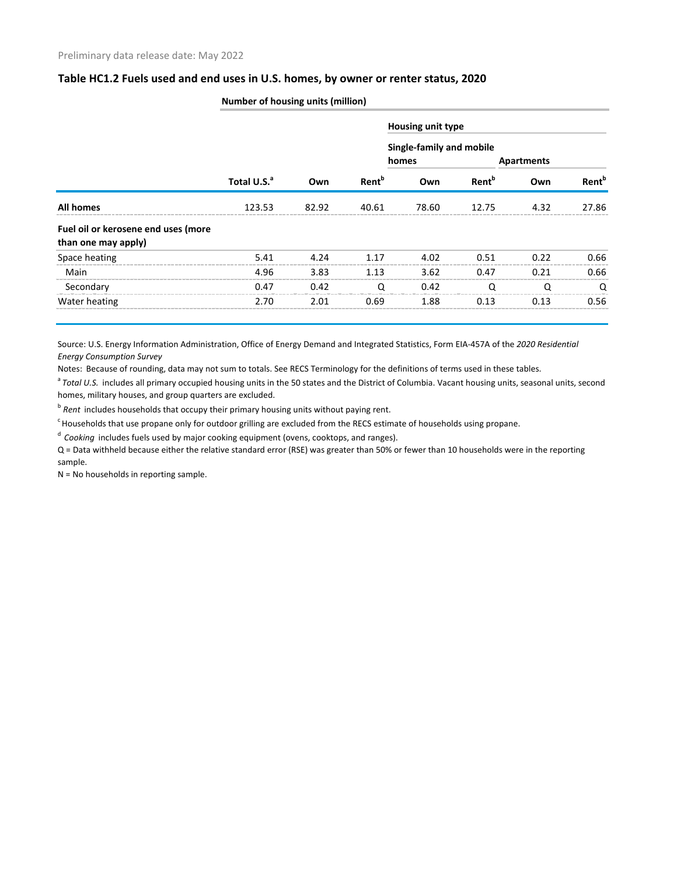| Table HC1.2 Fuels used and end uses in U.S. homes, by owner or renter status, 2020 |  |  |
|------------------------------------------------------------------------------------|--|--|
|------------------------------------------------------------------------------------|--|--|

|                                                            | <b>Number of housing units (million)</b> |       |                          |                                   |                          |                   |                          |  |  |  |
|------------------------------------------------------------|------------------------------------------|-------|--------------------------|-----------------------------------|--------------------------|-------------------|--------------------------|--|--|--|
|                                                            | Total U.S. <sup>a</sup>                  | Own   | <b>Rent</b> <sup>b</sup> | Housing unit type                 |                          |                   |                          |  |  |  |
|                                                            |                                          |       |                          | Single-family and mobile<br>homes |                          | <b>Apartments</b> |                          |  |  |  |
|                                                            |                                          |       |                          | Own                               | <b>Rent</b> <sup>b</sup> | Own               | <b>Rent</b> <sup>b</sup> |  |  |  |
| <b>All homes</b>                                           | 123.53                                   | 82.92 | 40.61                    | 78.60                             | 12.75                    | 4.32              | 27.86                    |  |  |  |
| Fuel oil or kerosene end uses (more<br>than one may apply) |                                          |       |                          |                                   |                          |                   |                          |  |  |  |
| Space heating                                              | 5.41                                     | 4.24  | 1.17                     | 4.02                              | 0.51                     | 0.22              | 0.66                     |  |  |  |
| Main                                                       | 4.96                                     | 3.83  | 1.13                     | 3.62                              | 0.47                     | 0.21              | 0.66                     |  |  |  |
| Secondary                                                  | 0.47                                     | 0.42  |                          | 0.42                              |                          |                   | O                        |  |  |  |
| Water heating                                              | 2.70                                     | 2.01  | 0.69                     | 1.88                              | 0.13                     | 0.13              | 0.56                     |  |  |  |

## Source: U.S. Energy Information Administration, Office of Energy Demand and Integrated Statistics, Form EIA-457A of the *2020 Residential Energy Consumption Survey*

Notes: Because of rounding, data may not sum to totals. See RECS Terminology for the definitions of terms used in these tables.

<sup>a</sup> Total U.S. includes all primary occupied housing units in the 50 states and the District of Columbia. Vacant housing units, seasonal units, second homes, military houses, and group quarters are excluded.

<sup>b</sup> Rent includes households that occupy their primary housing units without paying rent.

c Households that use propane only for outdoor grilling are excluded from the RECS estimate of households using propane.

<sup>d</sup> *Cooking* includes fuels used by major cooking equipment (ovens, cooktops, and ranges).

Q = Data withheld because either the relative standard error (RSE) was greater than 50% or fewer than 10 households were in the reporting sample.

N = No households in reporting sample.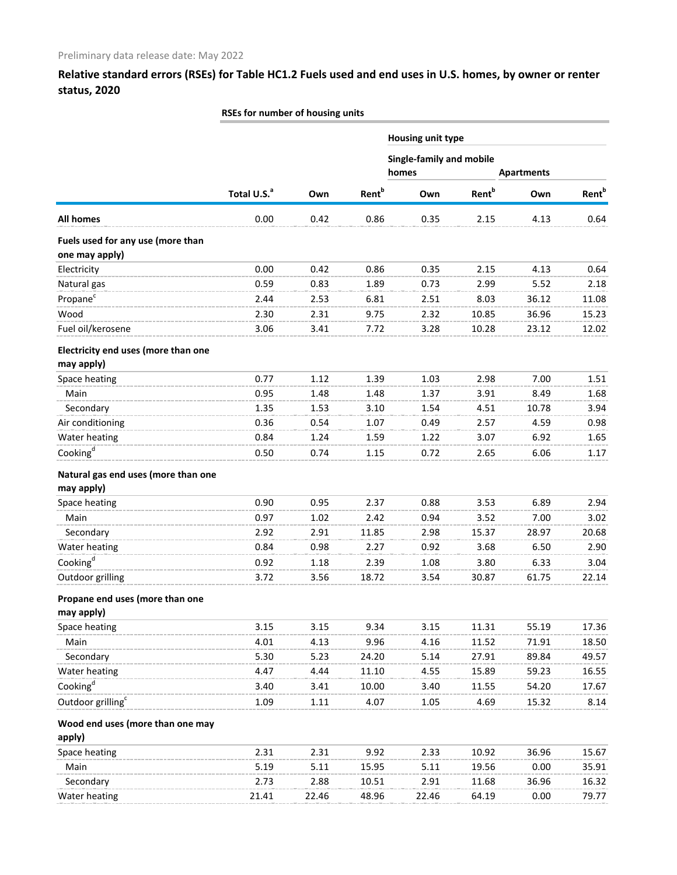**Relative standard errors (RSEs) for Table HC1.2 Fuels used and end uses in U.S. homes, by owner or renter status, 2020**

|                                                     | RSEs for number of housing units |       |                          |                          |                          |                   |                          |  |  |
|-----------------------------------------------------|----------------------------------|-------|--------------------------|--------------------------|--------------------------|-------------------|--------------------------|--|--|
|                                                     |                                  |       |                          | Housing unit type        |                          |                   |                          |  |  |
|                                                     |                                  |       |                          | Single-family and mobile |                          |                   |                          |  |  |
|                                                     |                                  |       |                          | homes                    |                          | <b>Apartments</b> |                          |  |  |
|                                                     | Total U.S. <sup>a</sup>          | Own   | <b>Rent</b> <sup>b</sup> | Own                      | <b>Rent</b> <sup>b</sup> | Own               | <b>Rent</b> <sup>b</sup> |  |  |
| <b>All homes</b>                                    | 0.00                             | 0.42  | 0.86                     | 0.35                     | 2.15                     | 4.13              | 0.64                     |  |  |
| Fuels used for any use (more than<br>one may apply) |                                  |       |                          |                          |                          |                   |                          |  |  |
| Electricity                                         | 0.00                             | 0.42  | 0.86                     | 0.35                     | 2.15                     | 4.13              | 0.64                     |  |  |
| Natural gas                                         | 0.59                             | 0.83  | 1.89                     | 0.73                     | 2.99                     | 5.52              | 2.18                     |  |  |
| Propane <sup>c</sup>                                | 2.44                             | 2.53  | 6.81                     | 2.51                     | 8.03                     | 36.12             | 11.08                    |  |  |
| Wood                                                | 2.30                             | 2.31  | 9.75                     | 2.32                     | 10.85                    | 36.96             | 15.23                    |  |  |
| Fuel oil/kerosene                                   | 3.06                             | 3.41  | 7.72                     | 3.28                     | 10.28                    | 23.12             | 12.02                    |  |  |
| Electricity end uses (more than one<br>may apply)   |                                  |       |                          |                          |                          |                   |                          |  |  |
| Space heating                                       | 0.77                             | 1.12  | 1.39                     | 1.03                     | 2.98                     | 7.00              | 1.51                     |  |  |
| Main                                                | 0.95                             | 1.48  | 1.48                     | 1.37                     | 3.91                     | 8.49              | 1.68                     |  |  |
| Secondary                                           | 1.35                             | 1.53  | 3.10                     | 1.54                     | 4.51                     | 10.78             | 3.94                     |  |  |
| Air conditioning                                    | 0.36                             | 0.54  | 1.07                     | 0.49                     | 2.57                     | 4.59              | 0.98                     |  |  |
| Water heating                                       | 0.84                             | 1.24  | 1.59                     | 1.22                     | 3.07                     | 6.92              | 1.65                     |  |  |
| Cooking $d$                                         | 0.50                             | 0.74  | 1.15                     | 0.72                     | 2.65                     | 6.06              | 1.17                     |  |  |
| Natural gas end uses (more than one                 |                                  |       |                          |                          |                          |                   |                          |  |  |
| may apply)                                          |                                  |       |                          |                          |                          |                   |                          |  |  |
| Space heating                                       | 0.90                             | 0.95  | 2.37                     | 0.88                     | 3.53                     | 6.89              | 2.94                     |  |  |
| Main                                                | 0.97                             | 1.02  | 2.42                     | 0.94                     | 3.52                     | 7.00              | 3.02                     |  |  |
| Secondary                                           | 2.92                             | 2.91  | 11.85                    | 2.98                     | 15.37                    | 28.97             | 20.68                    |  |  |
| Water heating                                       | 0.84                             | 0.98  | 2.27                     | 0.92                     | 3.68                     | 6.50              | 2.90                     |  |  |
| Cooking $\mathbf{g}^{\mathsf{d}}$                   | 0.92                             | 1.18  | 2.39                     | 1.08                     | 3.80                     | 6.33              | 3.04                     |  |  |
| Outdoor grilling                                    | 3.72                             | 3.56  | 18.72                    | 3.54                     | 30.87                    | 61.75             | 22.14                    |  |  |
| Propane end uses (more than one                     |                                  |       |                          |                          |                          |                   |                          |  |  |
| may apply)                                          |                                  |       |                          |                          |                          |                   |                          |  |  |
| Space heating                                       | 3.15                             | 3.15  | 9.34                     | 3.15                     | 11.31                    | 55.19             | 17.36                    |  |  |
| Main                                                | 4.01<br>5.30                     | 4.13  | 9.96                     | 4.16                     | 11.52                    | 71.91             | 18.50                    |  |  |
| Secondary                                           |                                  | 5.23  | 24.20                    | 5.14                     | 27.91                    | 89.84             | 49.57                    |  |  |
| Water heating<br>Cooking <sup>d</sup>               | 4.47                             | 4.44  | 11.10                    | 4.55                     | 15.89                    | 59.23             | 16.55                    |  |  |
|                                                     | 3.40                             | 3.41  | 10.00                    | 3.40                     | 11.55                    | 54.20             | 17.67                    |  |  |
| Outdoor grilling <sup>c</sup>                       | 1.09                             | 1.11  | 4.07                     | 1.05                     | 4.69                     | 15.32             | 8.14                     |  |  |
| Wood end uses (more than one may<br>apply)          |                                  |       |                          |                          |                          |                   |                          |  |  |
| Space heating                                       | 2.31                             | 2.31  | 9.92                     | 2.33                     | 10.92                    | 36.96             | 15.67                    |  |  |
| Main                                                | 5.19                             | 5.11  | 15.95                    | 5.11                     | 19.56                    | 0.00              | 35.91                    |  |  |
| Secondary                                           | 2.73                             | 2.88  | 10.51                    | 2.91                     | 11.68                    | 36.96             | 16.32                    |  |  |
| Water heating                                       | 21.41                            | 22.46 | 48.96                    | 22.46                    | 64.19                    | 0.00              | 79.77                    |  |  |
|                                                     |                                  |       |                          |                          |                          |                   |                          |  |  |